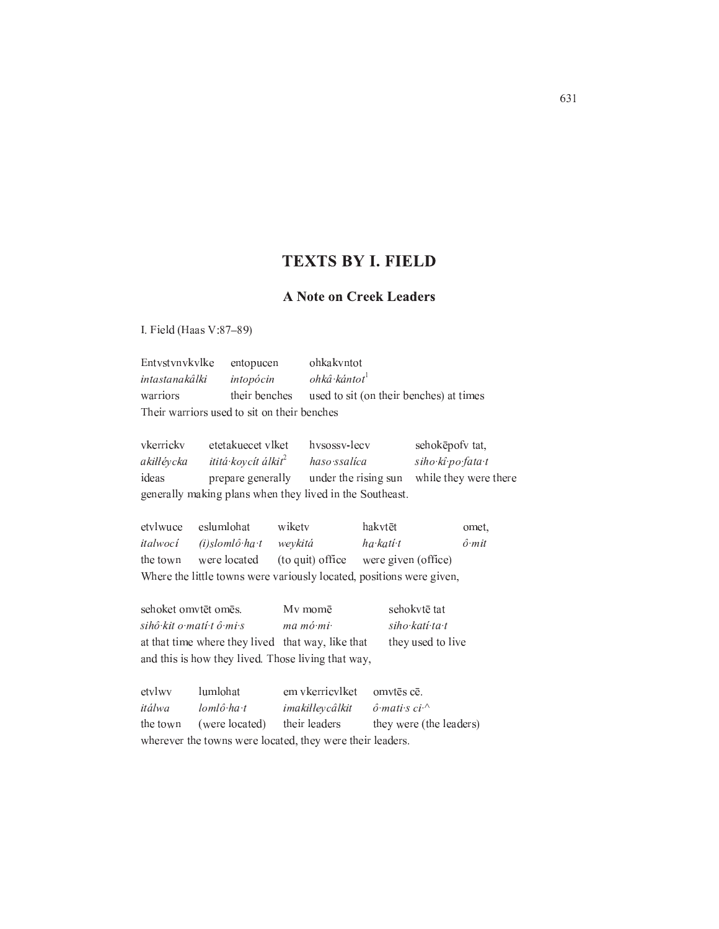## **TEXTS BY I. FIELD**

## **A Note on Creek Leaders**

I. Field (Haas V:87-89)

Entvstvnvkvlke entopucen ohkakvntot ohkâ kántot<sup>1</sup> intastanakâlki intopócin warriors their benches used to sit (on their benches) at times Their warriors used to sit on their benches

vkerricky etetakuecet vlket hvsossv-lecv sehokēpofv tat, akiłłévcka ititá koycít álkit<sup>2</sup> haso ssalica siho kî po fata t while they were there ideas prepare generally under the rising sun generally making plans when they lived in the Southeast.

etvlwuce eslumlohat wiketv hakvtēt omet, italwocí  $(i)$ slom $l\hat{o}$  ha t ha kati t weykitá  $\hat{o}$  mit the town were located (to quit) office were given (office) Where the little towns were variously located, positions were given,

sehoket omvtēt omēs. My momē sehokvtē tat sihô kit o matí tô mi s ma mó mi siho kati ta t at that time where they lived that way, like that they used to live and this is how they lived. Those living that way,

| etvlwy   | lumlohat       | em vkerricylket omytes ce.                                |                              |
|----------|----------------|-----------------------------------------------------------|------------------------------|
| itálwa   | lomlô ha t     | imakiłłeycâlkit                                           | $\hat{o}$ mati s ci $\wedge$ |
| the town | (were located) | their leaders                                             | they were (the leaders)      |
|          |                | wherever the towns were located, they were their leaders. |                              |